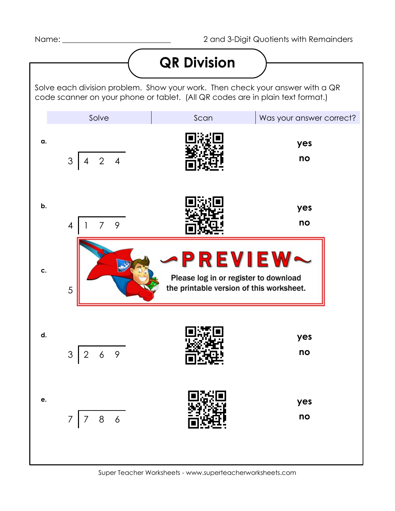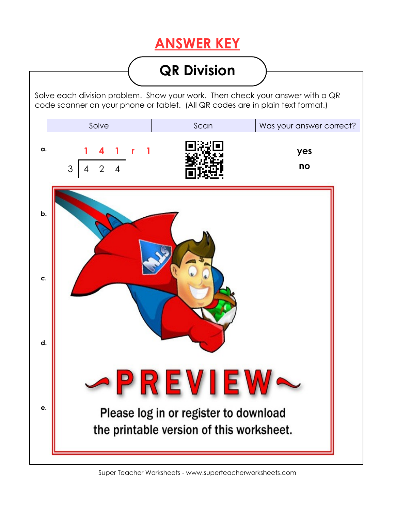## **ANSWER KEY**